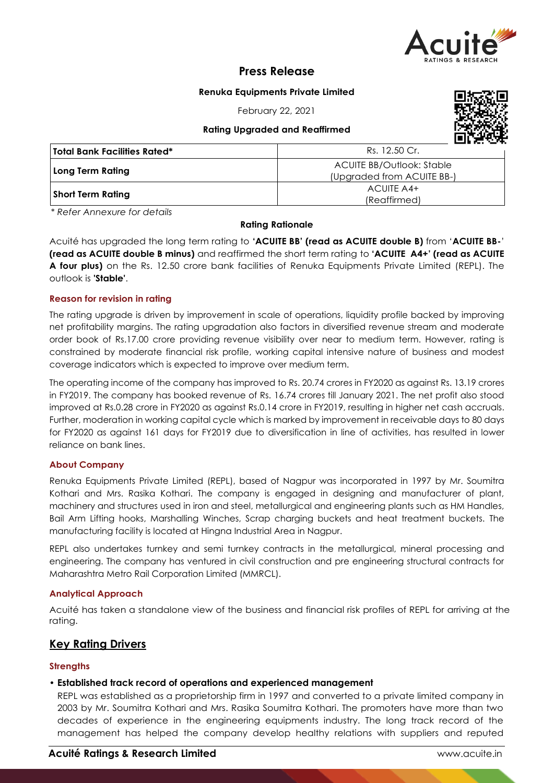

# **Press Release**

### **Renuka Equipments Private Limited**

February 22, 2021

**Rating Upgraded and Reaffirmed**



| Total Bank Facilities Rated* | Rs. 12.50 Cr.                    |  |  |
|------------------------------|----------------------------------|--|--|
| Long Term Rating             | <b>ACUITE BB/Outlook: Stable</b> |  |  |
|                              | (Upgraded from ACUITE BB-)       |  |  |
|                              | ACUITE A4+                       |  |  |
| Short Term Rating            | (Reaffirmed)                     |  |  |

*\* Refer Annexure for details*

### **Rating Rationale**

Acuité has upgraded the long term rating to **'ACUITE BB' (read as ACUITE double B)** from '**ACUITE BB-**' **(read as ACUITE double B minus)** and reaffirmed the short term rating to **'ACUITE A4+' (read as ACUITE A four plus)** on the Rs. 12.50 crore bank facilities of Renuka Equipments Private Limited (REPL). The outlook is **'Stable'**.

### **Reason for revision in rating**

The rating upgrade is driven by improvement in scale of operations, liquidity profile backed by improving net profitability margins. The rating upgradation also factors in diversified revenue stream and moderate order book of Rs.17.00 crore providing revenue visibility over near to medium term. However, rating is constrained by moderate financial risk profile, working capital intensive nature of business and modest coverage indicators which is expected to improve over medium term.

The operating income of the company has improved to Rs. 20.74 crores in FY2020 as against Rs. 13.19 crores in FY2019. The company has booked revenue of Rs. 16.74 crores till January 2021. The net profit also stood improved at Rs.0.28 crore in FY2020 as against Rs.0.14 crore in FY2019, resulting in higher net cash accruals. Further, moderation in working capital cycle which is marked by improvement in receivable days to 80 days for FY2020 as against 161 days for FY2019 due to diversification in line of activities, has resulted in lower reliance on bank lines.

### **About Company**

Renuka Equipments Private Limited (REPL), based of Nagpur was incorporated in 1997 by Mr. Soumitra Kothari and Mrs. Rasika Kothari. The company is engaged in designing and manufacturer of plant, machinery and structures used in iron and steel, metallurgical and engineering plants such as HM Handles, Bail Arm Lifting hooks, Marshalling Winches, Scrap charging buckets and heat treatment buckets. The manufacturing facility is located at Hingna Industrial Area in Nagpur.

REPL also undertakes turnkey and semi turnkey contracts in the metallurgical, mineral processing and engineering. The company has ventured in civil construction and pre engineering structural contracts for Maharashtra Metro Rail Corporation Limited (MMRCL).

### **Analytical Approach**

Acuité has taken a standalone view of the business and financial risk profiles of REPL for arriving at the rating.

# **Key Rating Drivers**

### **Strengths**

### • **Established track record of operations and experienced management**

REPL was established as a proprietorship firm in 1997 and converted to a private limited company in 2003 by Mr. Soumitra Kothari and Mrs. Rasika Soumitra Kothari. The promoters have more than two decades of experience in the engineering equipments industry. The long track record of the management has helped the company develop healthy relations with suppliers and reputed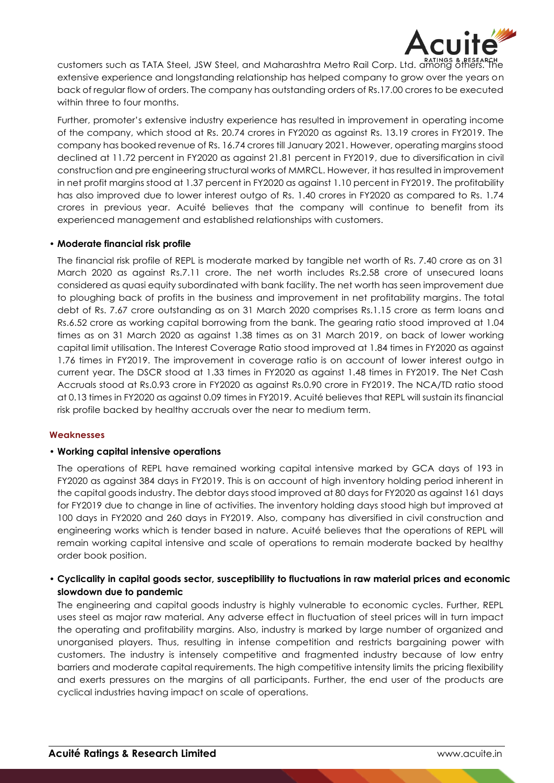

customers such as TATA Steel, JSW Steel, and Maharashtra Metro Rail Corp. Ltd. among others. The extensive experience and longstanding relationship has helped company to grow over the years on back of regular flow of orders. The company has outstanding orders of Rs.17.00 crores to be executed within three to four months.

Further, promoter's extensive industry experience has resulted in improvement in operating income of the company, which stood at Rs. 20.74 crores in FY2020 as against Rs. 13.19 crores in FY2019. The company has booked revenue of Rs. 16.74 crores till January 2021. However, operating margins stood declined at 11.72 percent in FY2020 as against 21.81 percent in FY2019, due to diversification in civil construction and pre engineering structural works of MMRCL. However, it has resulted in improvement in net profit margins stood at 1.37 percent in FY2020 as against 1.10 percent in FY2019. The profitability has also improved due to lower interest outgo of Rs. 1.40 crores in FY2020 as compared to Rs. 1.74 crores in previous year. Acuité believes that the company will continue to benefit from its experienced management and established relationships with customers.

### • **Moderate financial risk profile**

The financial risk profile of REPL is moderate marked by tangible net worth of Rs. 7.40 crore as on 31 March 2020 as against Rs.7.11 crore. The net worth includes Rs.2.58 crore of unsecured loans considered as quasi equity subordinated with bank facility. The net worth has seen improvement due to ploughing back of profits in the business and improvement in net profitability margins. The total debt of Rs. 7.67 crore outstanding as on 31 March 2020 comprises Rs.1.15 crore as term loans and Rs.6.52 crore as working capital borrowing from the bank. The gearing ratio stood improved at 1.04 times as on 31 March 2020 as against 1.38 times as on 31 March 2019, on back of lower working capital limit utilisation. The Interest Coverage Ratio stood improved at 1.84 times in FY2020 as against 1.76 times in FY2019. The improvement in coverage ratio is on account of lower interest outgo in current year. The DSCR stood at 1.33 times in FY2020 as against 1.48 times in FY2019. The Net Cash Accruals stood at Rs.0.93 crore in FY2020 as against Rs.0.90 crore in FY2019. The NCA/TD ratio stood at 0.13 times in FY2020 as against 0.09 times in FY2019. Acuité believes that REPL will sustain its financial risk profile backed by healthy accruals over the near to medium term.

### **Weaknesses**

### • **Working capital intensive operations**

The operations of REPL have remained working capital intensive marked by GCA days of 193 in FY2020 as against 384 days in FY2019. This is on account of high inventory holding period inherent in the capital goods industry. The debtor days stood improved at 80 days for FY2020 as against 161 days for FY2019 due to change in line of activities. The inventory holding days stood high but improved at 100 days in FY2020 and 260 days in FY2019. Also, company has diversified in civil construction and engineering works which is tender based in nature. Acuité believes that the operations of REPL will remain working capital intensive and scale of operations to remain moderate backed by healthy order book position.

# • **Cyclicality in capital goods sector, susceptibility to fluctuations in raw material prices and economic slowdown due to pandemic**

The engineering and capital goods industry is highly vulnerable to economic cycles. Further, REPL uses steel as major raw material. Any adverse effect in fluctuation of steel prices will in turn impact the operating and profitability margins. Also, industry is marked by large number of organized and unorganised players. Thus, resulting in intense competition and restricts bargaining power with customers. The industry is intensely competitive and fragmented industry because of low entry barriers and moderate capital requirements. The high competitive intensity limits the pricing flexibility and exerts pressures on the margins of all participants. Further, the end user of the products are cyclical industries having impact on scale of operations.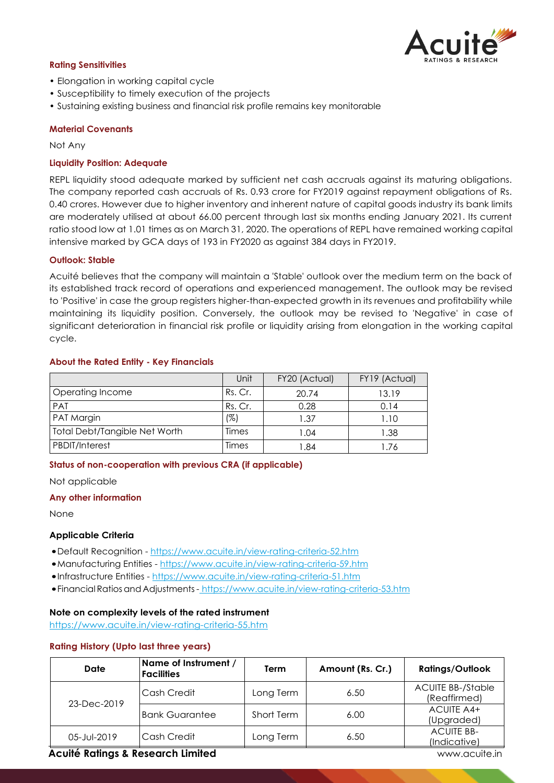

#### **Rating Sensitivities**

- Elongation in working capital cycle
- Susceptibility to timely execution of the projects
- Sustaining existing business and financial risk profile remains key monitorable

#### **Material Covenants**

Not Any

#### **Liquidity Position: Adequate**

REPL liquidity stood adequate marked by sufficient net cash accruals against its maturing obligations. The company reported cash accruals of Rs. 0.93 crore for FY2019 against repayment obligations of Rs. 0.40 crores. However due to higher inventory and inherent nature of capital goods industry its bank limits are moderately utilised at about 66.00 percent through last six months ending January 2021. Its current ratio stood low at 1.01 times as on March 31, 2020. The operations of REPL have remained working capital intensive marked by GCA days of 193 in FY2020 as against 384 days in FY2019.

#### **Outlook: Stable**

Acuité believes that the company will maintain a 'Stable' outlook over the medium term on the back of its established track record of operations and experienced management. The outlook may be revised to 'Positive' in case the group registers higher-than-expected growth in its revenues and profitability while maintaining its liquidity position. Conversely, the outlook may be revised to 'Negative' in case of significant deterioration in financial risk profile or liquidity arising from elongation in the working capital cycle.

#### **About the Rated Entity - Key Financials**

|                               | Unit    | FY20 (Actual) | FY19 (Actual) |
|-------------------------------|---------|---------------|---------------|
| Operating Income              | Rs. Cr. | 20.74         | 13.19         |
| PAT                           | Rs. Cr. | 0.28          | 0.14          |
| PAT Margin                    | (%)     | 1.37          | 1.10          |
| Total Debt/Tangible Net Worth | Times   | 1.04          | 1.38          |
| <b>PBDIT/Interest</b>         | Times   | 1.84          | 1.76          |

#### **Status of non-cooperation with previous CRA (if applicable)**

Not applicable

#### **Any other information**

None

#### **Applicable Criteria**

- •Default Recognition https://www.acuite.in/view-rating-criteria-52.htm
- •Manufacturing Entities https://www.acuite.in/view-rating-criteria-59.htm
- •Infrastructure Entities https://www.acuite.in/view-rating-criteria-51.htm
- •Financial Ratiosand Adjustments- https://www.acuite.in/view-rating-criteria-53.htm

#### **Note on complexity levels of the rated instrument**

https://www.acuite.in/view-rating-criteria-55.htm

#### **Rating History (Upto last three years)**

| Date        | Name of Instrument /<br><b>Facilities</b> | Term       | Amount (Rs. Cr.) | <b>Ratings/Outlook</b>                   |
|-------------|-------------------------------------------|------------|------------------|------------------------------------------|
| 23-Dec-2019 | Cash Credit                               | Long Term  | 6.50             | <b>ACUITE BB-/Stable</b><br>(Reaffirmed) |
|             | <b>Bank Guarantee</b>                     | Short Term | 6.00             | ACUITE A4+<br>(Upgraded)                 |
| 05-Jul-2019 | Cash Credit                               | Long Term  | 6.50             | <b>ACUITE BB-</b><br>(Indicative)        |